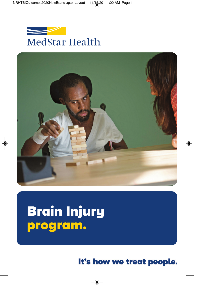



# Brain Injury<br>program.

It's how we treat people.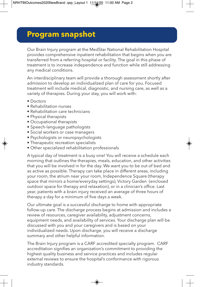# **Program snapshot**

Our Brain Injury program at the MedStar National Rehabilitation Hospital provides comprehensive inpatient rehabilitation that begins when you are transferred from a referring hospital or facility. The goal in this phase of treatment is to increase independence and function while still addressing any medical conditions.

An interdisciplinary team will provide a thorough assessment shortly after admission to develop an individualized plan of care for you. Focused treatment will include medical, diagnostic, and nursing care, as well as a variety of therapies. During your stay, you will work with:

- Doctors
- Rehabilitation nurses
- Rehabilitation care technicians
- Physical therapists
- Occupational therapists
- Speech-language pathologists
- Social workers or case managers
- Psychologists or neuropsychologists
- Therapeutic recreation specialists
- Other specialized rehabilitation professionals

A typical day of treatment is a busy one! You will receive a schedule each morning that outlines the therapies, meals, education, and other activities that you will be involved in for the day. We want you to be out of bed and as active as possible. Therapy can take place in different areas, including your room, the atrium near your room, Independence Square (therapy space that mirrors a home/everyday settings), Victory Garden (enclosed outdoor space for therapy and relaxation), or in a clinician's office. Last year, patients with a brain injury received an average of three hours of therapy a day for a minimum of five days a week.

Our ultimate goal is a successful discharge to home with appropriate follow-up care. The discharge process begins at admission and includes a review of resources, caregiver availability, adjustment concerns, equipment needs, and availability of services. Your discharge plan will be discussed with you and your caregivers and is based on your individualized needs. Upon discharge, you will receive a discharge summary and other helpful information.

The Brain Injury program is a CARF accredited specialty program. CARF accreditation signifies an organization's commitment to providing the highest quality business and service practices and includes regular external reviews to ensure the hospital's conformance with rigorous industry standards.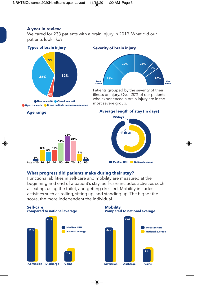# **A year in review**

We cared for 233 patients with a brain injury in 2019. What did our patients look like?

### **Types of brain injury**



**Open traumatic BI and multiple fractures/amputation**

#### **Severity of brain injury**



Patients grouped by the severity of their illness or injury. Over 20% of our patients who experienced a brain injury are in the most severe group.

#### **Average length of stay (in days)**



#### **What progress did patients make during their stay?**

Functional abilities in self-care and mobility are measured at the beginning and end of a patient's stay. Self-care includes activities such as eating, using the toilet, and getting dressed. Mobility includes activities such as rolling, sitting up, and standing up. The higher the score, the more independent the individual.



#### **Age range**